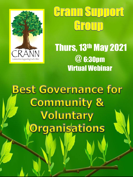

# **Grann Support** Group

Thurs, 13th May 2021 @ 6:30pm Virtual Webinar

**Best Governance for Community &** Voluntary Organisations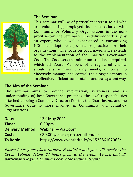### **The Seminar**



This seminar will be of particular interest to all who are volunteering, employed in, or associated with Community or Voluntary Organisations in the nonprofit sector. The Seminar will be delivered virtually by an expert, who is well experienced in encouraging NGO's to adopt best governance practices for their organisations. This focus on good governance extends to the implementation of the Charities Governance Code. The Code sets the minimum standards required, which all Board Members of a registered charity should ensure their charity meets, in order to effectively manage and control their organisations in an effective, efficient, accountable and transparent way.

## **The Aim of the Seminar**

The seminar aims to provide information, awareness and an understanding of; best Governance practices, the legal responsibilities attached to being a Company Director/Trustee, the Charities Act and the Governance Code to those involved in Community and Voluntary Organisations.

| Date:           | $13th$ May 2021                           |
|-----------------|-------------------------------------------|
| Time:           | 6:30 <sub>pm</sub>                        |
|                 | Delivery Method: Webinar - Via Zoom       |
| Cost:           | €30.00 (plus booking fee) per attendee    |
| <b>To Book:</b> | https://www.eventbrite.ie/e/153386102963/ |

Please book your place through Eventbrite and you will receive the Zoom Webinar details 24 hours prior to the event. We ask that all participants log in 10 minutes before the webinar begins.